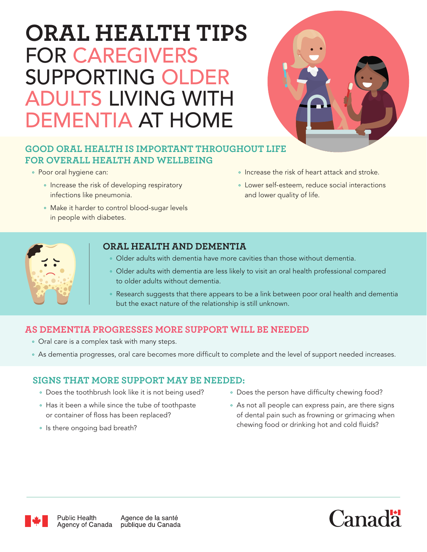# **ORAL HEALTH TIPS** FOR CAREGIVERS SUPPORTING OLDER ADULTS LIVING WITH DEMENTIA AT HOME



### **GOOD ORAL HEALTH IS IMPORTANT THROUGHOUT LIFE FOR OVERALL HEALTH AND WELLBEING**

- Poor oral hygiene can:
	- Increase the risk of developing respiratory infections like pneumonia.
	- Make it harder to control blood-sugar levels in people with diabetes.
- Increase the risk of heart attack and stroke.
- Lower self-esteem, reduce social interactions and lower quality of life.



#### **ORAL HEALTH AND DEMENTIA**

- Older adults with dementia have more cavities than those without dementia.
- Older adults with dementia are less likely to visit an oral health professional compared to older adults without dementia.
- Research suggests that there appears to be a link between poor oral health and dementia but the exact nature of the relationship is still unknown.

# **AS DEMENTIA PROGRESSES MORE SUPPORT WILL BE NEEDED**

- Oral care is a complex task with many steps.
- As dementia progresses, oral care becomes more difficult to complete and the level of support needed increases.

# **SIGNS THAT MORE SUPPORT MAY BE NEEDED:**

- Does the toothbrush look like it is not being used?
- Has it been a while since the tube of toothpaste or container of floss has been replaced?
- Is there ongoing bad breath?
- Does the person have difficulty chewing food?
- As not all people can express pain, are there signs of dental pain such as frowning or grimacing when chewing food or drinking hot and cold fluids?